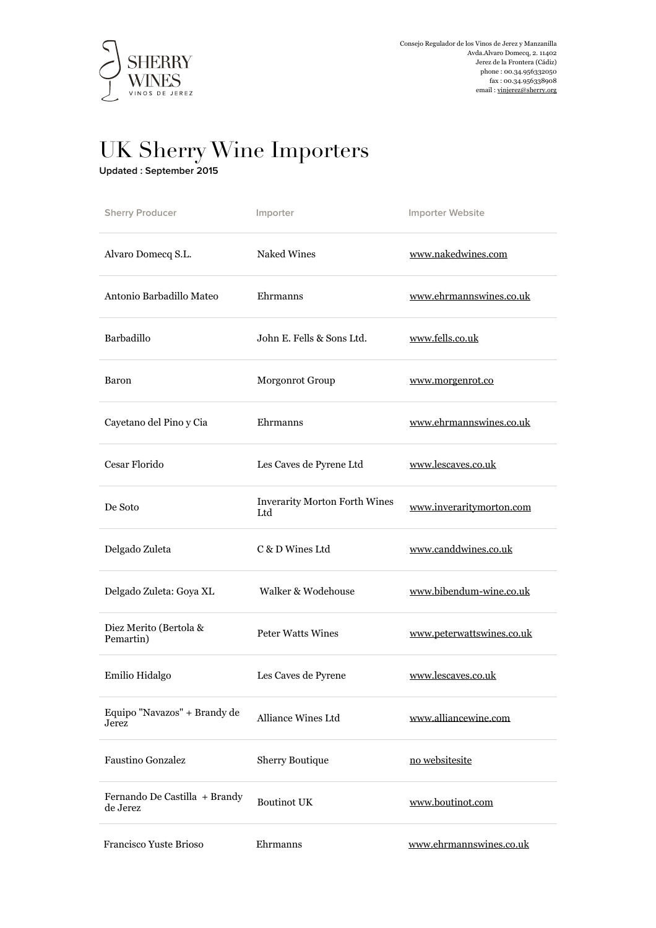

## UK Sherry Wine Importers

**Updated : September 2015** 

| <b>Sherry Producer</b>                    | Importer                                    | Importer Website          |
|-------------------------------------------|---------------------------------------------|---------------------------|
| Alvaro Domecq S.L.                        | <b>Naked Wines</b>                          | www.nakedwines.com        |
| Antonio Barbadillo Mateo                  | Ehrmanns                                    | www.ehrmannswines.co.uk   |
| Barbadillo                                | John E. Fells & Sons Ltd.                   | www.fells.co.uk           |
| <b>Baron</b>                              | Morgonrot Group                             | www.morgenrot.co          |
| Cayetano del Pino y Cia                   | Ehrmanns                                    | www.ehrmannswines.co.uk   |
| Cesar Florido                             | Les Caves de Pyrene Ltd                     | www.lescaves.co.uk        |
| De Soto                                   | <b>Inverarity Morton Forth Wines</b><br>Ltd | www.inveraritymorton.com  |
| Delgado Zuleta                            | C & D Wines Ltd                             | www.canddwines.co.uk      |
| Delgado Zuleta: Goya XL                   | Walker & Wodehouse                          | www.bibendum-wine.co.uk   |
| Diez Merito (Bertola &<br>Pemartin)       | <b>Peter Watts Wines</b>                    | www.peterwattswines.co.uk |
| Emilio Hidalgo                            | Les Caves de Pyrene                         | www.lescaves.co.uk        |
| Equipo "Navazos" + Brandy de<br>Jerez     | Alliance Wines Ltd                          | www.alliancewine.com      |
| <b>Faustino Gonzalez</b>                  | Sherry Boutique                             | no websitesite            |
| Fernando De Castilla + Brandy<br>de Jerez | <b>Boutinot UK</b>                          | www.boutinot.com          |
| Francisco Yuste Brioso                    | Ehrmanns                                    | www.ehrmannswines.co.uk   |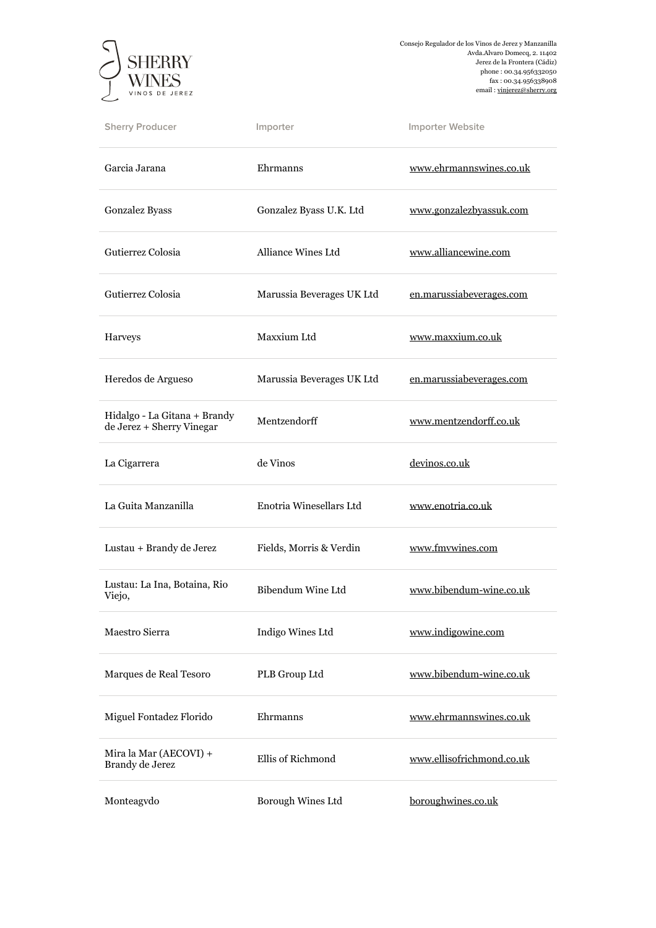

Consejo Regulador de los Vinos de Jerez y Manzanilla Avda.Alvaro Domecq, 2. 11402 Jerez de la Frontera (Cádiz) phone : 00.34.956332050 fax : 00.34.956338908 email : [vinjerez@sherry.org](mailto:vinjerez@sherry.org)

| <b>Sherry Producer</b>                                    | Importer                  | Importer Website          |
|-----------------------------------------------------------|---------------------------|---------------------------|
| Garcia Jarana                                             | Ehrmanns                  | www.ehrmannswines.co.uk   |
| Gonzalez Byass                                            | Gonzalez Byass U.K. Ltd   | www.gonzalezbyassuk.com   |
| Gutierrez Colosia                                         | Alliance Wines Ltd        | www.alliancewine.com      |
| Gutierrez Colosia                                         | Marussia Beverages UK Ltd | en.marussiabeverages.com  |
| Harveys                                                   | Maxxium Ltd               | www.maxxium.co.uk         |
| Heredos de Argueso                                        | Marussia Beverages UK Ltd | en.marussiabeverages.com  |
| Hidalgo - La Gitana + Brandy<br>de Jerez + Sherry Vinegar | Mentzendorff              | www.mentzendorff.co.uk    |
| La Cigarrera                                              | de Vinos                  | devinos.co.uk             |
| La Guita Manzanilla                                       | Enotria Winesellars Ltd   | www.enotria.co.uk         |
| Lustau + Brandy de Jerez                                  | Fields, Morris & Verdin   | www.fmvwines.com          |
| Lustau: La Ina, Botaina, Rio<br>Viejo,                    | Bibendum Wine Ltd         | www.bibendum-wine.co.uk   |
| Maestro Sierra                                            | Indigo Wines Ltd          | www.indigowine.com        |
| Marques de Real Tesoro                                    | PLB Group Ltd             | www.bibendum-wine.co.uk   |
| Miguel Fontadez Florido                                   | Ehrmanns                  | www.ehrmannswines.co.uk   |
| Mira la Mar (AECOVI) +<br>Brandy de Jerez                 | Ellis of Richmond         | www.ellisofrichmond.co.uk |
| Monteagvdo                                                | Borough Wines Ltd         | boroughwines.co.uk        |